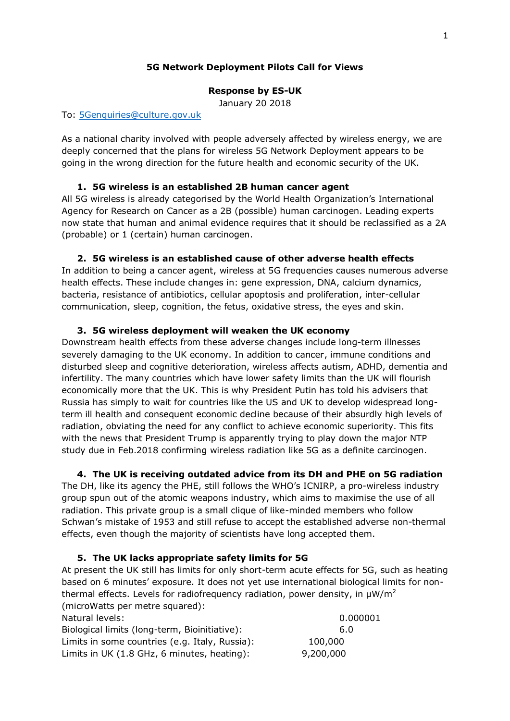# **5G Network Deployment Pilots Call for Views**

## **Response by ES-UK**

January 20 2018

### To: [5Genquiries@culture.gov.uk](mailto:5Genquiries@culture.gov.uk)

As a national charity involved with people adversely affected by wireless energy, we are deeply concerned that the plans for wireless 5G Network Deployment appears to be going in the wrong direction for the future health and economic security of the UK.

# **1. 5G wireless is an established 2B human cancer agent**

All 5G wireless is already categorised by the World Health Organization's International Agency for Research on Cancer as a 2B (possible) human carcinogen. Leading experts now state that human and animal evidence requires that it should be reclassified as a 2A (probable) or 1 (certain) human carcinogen.

# **2. 5G wireless is an established cause of other adverse health effects**

In addition to being a cancer agent, wireless at 5G frequencies causes numerous adverse health effects. These include changes in: gene expression, DNA, calcium dynamics, bacteria, resistance of antibiotics, cellular apoptosis and proliferation, inter-cellular communication, sleep, cognition, the fetus, oxidative stress, the eyes and skin.

# **3. 5G wireless deployment will weaken the UK economy**

Downstream health effects from these adverse changes include long-term illnesses severely damaging to the UK economy. In addition to cancer, immune conditions and disturbed sleep and cognitive deterioration, wireless affects autism, ADHD, dementia and infertility. The many countries which have lower safety limits than the UK will flourish economically more that the UK. This is why President Putin has told his advisers that Russia has simply to wait for countries like the US and UK to develop widespread longterm ill health and consequent economic decline because of their absurdly high levels of radiation, obviating the need for any conflict to achieve economic superiority. This fits with the news that President Trump is apparently trying to play down the major NTP study due in Feb.2018 confirming wireless radiation like 5G as a definite carcinogen.

### **4. The UK is receiving outdated advice from its DH and PHE on 5G radiation**

The DH, like its agency the PHE, still follows the WHO's ICNIRP, a pro-wireless industry group spun out of the atomic weapons industry, which aims to maximise the use of all radiation. This private group is a small clique of like-minded members who follow Schwan's mistake of 1953 and still refuse to accept the established adverse non-thermal effects, even though the majority of scientists have long accepted them.

### **5. The UK lacks appropriate safety limits for 5G**

At present the UK still has limits for only short-term acute effects for 5G, such as heating based on 6 minutes' exposure. It does not yet use international biological limits for nonthermal effects. Levels for radiofrequency radiation, power density, in  $\mu W/m^2$ (microWatts per metre squared):

| Natural levels:                                | 0.000001  |
|------------------------------------------------|-----------|
| Biological limits (long-term, Bioinitiative):  | 6.0       |
| Limits in some countries (e.g. Italy, Russia): | 100,000   |
| Limits in UK (1.8 GHz, 6 minutes, heating):    | 9,200,000 |